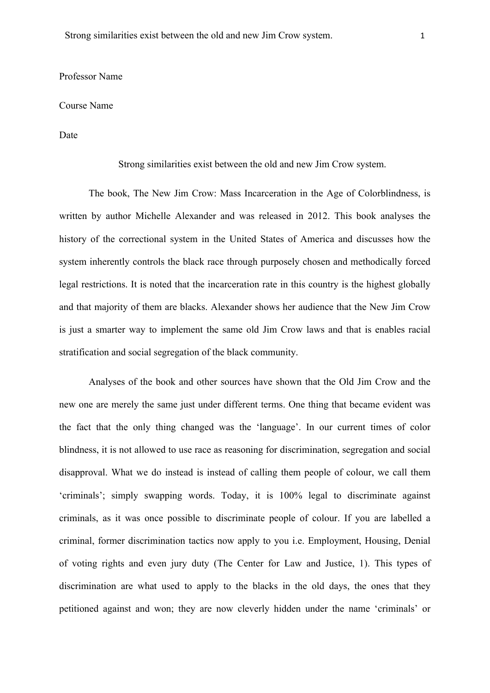## Professor Name

## Course Name

Date

Strong similarities exist between the old and new Jim Crow system.

The book, The New Jim Crow: Mass Incarceration in the Age of Colorblindness, is written by author Michelle Alexander and was released in 2012. This book analyses the history of the correctional system in the United States of America and discusses how the system inherently controls the black race through purposely chosen and methodically forced legal restrictions. It is noted that the incarceration rate in this country is the highest globally and that majority of them are blacks. Alexander shows her audience that the New Jim Crow is just a smarter way to implement the same old Jim Crow laws and that is enables racial stratification and social segregation of the black community.

Analyses of the book and other sources have shown that the Old Jim Crow and the new one are merely the same just under different terms. One thing that became evident was the fact that the only thing changed was the 'language'. In our current times of color blindness, it is not allowed to use race as reasoning for discrimination, segregation and social disapproval. What we do instead is instead of calling them people of colour, we call them 'criminals'; simply swapping words. Today, it is 100% legal to discriminate against criminals, as it was once possible to discriminate people of colour. If you are labelled a criminal, former discrimination tactics now apply to you i.e. Employment, Housing, Denial of voting rights and even jury duty (The Center for Law and Justice, 1). This types of discrimination are what used to apply to the blacks in the old days, the ones that they petitioned against and won; they are now cleverly hidden under the name 'criminals' or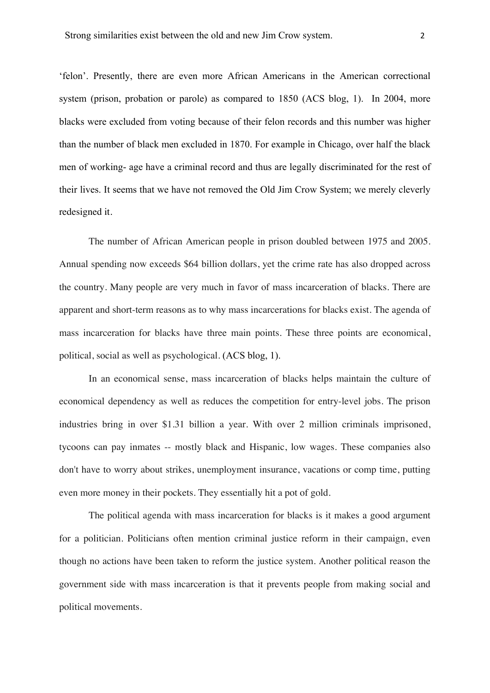'felon'. Presently, there are even more African Americans in the American correctional system (prison, probation or parole) as compared to 1850 (ACS blog, 1). In 2004, more blacks were excluded from voting because of their felon records and this number was higher than the number of black men excluded in 1870. For example in Chicago, over half the black men of working- age have a criminal record and thus are legally discriminated for the rest of their lives. It seems that we have not removed the Old Jim Crow System; we merely cleverly redesigned it.

The number of African American people in prison doubled between 1975 and 2005. Annual spending now exceeds \$64 billion dollars, yet the crime rate has also dropped across the country. Many people are very much in favor of mass incarceration of blacks. There are apparent and short-term reasons as to why mass incarcerations for blacks exist. The agenda of mass incarceration for blacks have three main points. These three points are economical, political, social as well as psychological. (ACS blog, 1).

In an economical sense, mass incarceration of blacks helps maintain the culture of economical dependency as well as reduces the competition for entry-level jobs. The prison industries bring in over \$1.31 billion a year. With over 2 million criminals imprisoned, tycoons can pay inmates -- mostly black and Hispanic, low wages. These companies also don't have to worry about strikes, unemployment insurance, vacations or comp time, putting even more money in their pockets. They essentially hit a pot of gold.

The political agenda with mass incarceration for blacks is it makes a good argument for a politician. Politicians often mention criminal justice reform in their campaign, even though no actions have been taken to reform the justice system. Another political reason the government side with mass incarceration is that it prevents people from making social and political movements.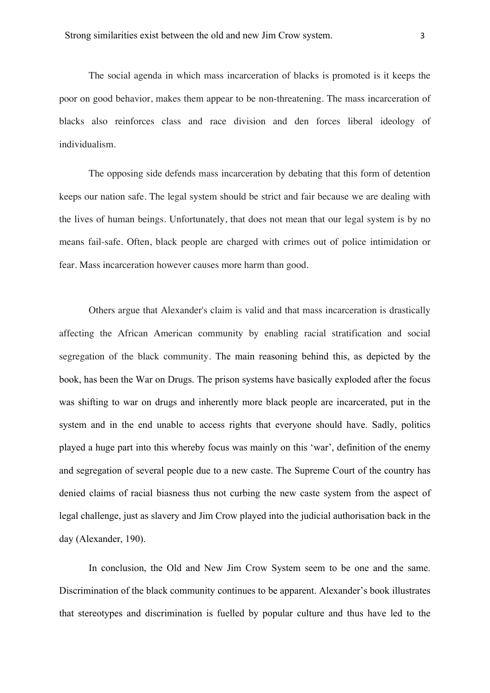The social agenda in which mass incarceration of blacks is promoted is it keeps the poor on good behavior, makes them appear to be non-threatening. The mass incarceration of blacks also reinforces class and race division and den forces liberal ideology of individualism.

The opposing side defends mass incarceration by debating that this form of detention keeps our nation safe. The legal system should be strict and fair because we are dealing with the lives of human beings. Unfortunately, that does not mean that our legal system is by no means fail-safe. Often, black people are charged with crimes out of police intimidation or fear. Mass incarceration however causes more harm than good.

Others argue that Alexander's claim is valid and that mass incarceration is drastically affecting the African American community by enabling racial stratification and social segregation of the black community. The main reasoning behind this, as depicted by the book, has been the War on Drugs. The prison systems have basically exploded after the focus was shifting to war on drugs and inherently more black people are incarcerated, put in the system and in the end unable to access rights that everyone should have. Sadly, politics played a huge part into this whereby focus was mainly on this 'war', definition of the enemy and segregation of several people due to a new caste. The Supreme Court of the country has denied claims of racial biasness thus not curbing the new caste system from the aspect of legal challenge, just as slavery and Jim Crow played into the judicial authorisation back in the day (Alexander, 190).

In conclusion, the Old and New Jim Crow System seem to be one and the same. Discrimination of the black community continues to be apparent. Alexander's book illustrates that stereotypes and discrimination is fuelled by popular culture and thus have led to the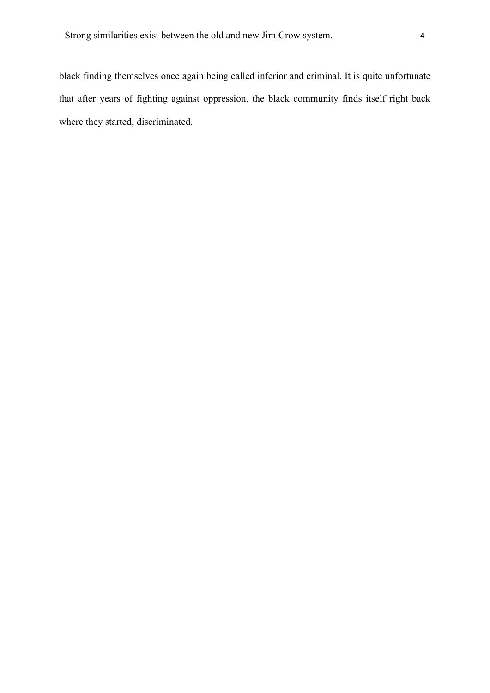black finding themselves once again being called inferior and criminal. It is quite unfortunate that after years of fighting against oppression, the black community finds itself right back where they started; discriminated.